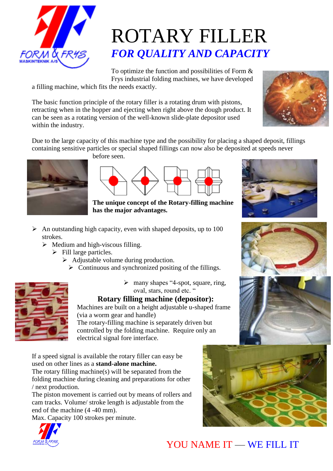

## ROTARY FILLER *FOR QUALITY AND CAPACITY*

To optimize the function and possibilities of Form & Frys industrial folding machines, we have developed

a filling machine, which fits the needs exactly.

The basic function principle of the rotary filler is a rotating drum with pistons, retracting when in the hopper and ejecting when right above the dough product. It can be seen as a rotating version of the well-known slide-plate depositor used within the industry.



Due to the large capacity of this machine type and the possibility for placing a shaped deposit, fillings containing sensitive particles or special shaped fillings can now also be deposited at speeds never



before seen.



**The unique concept of the Rotary-filling machine has the major advantages.**

- $\triangleright$  An outstanding high capacity, even with shaped deposits, up to 100 strokes.
	- $\triangleright$  Medium and high-viscous filling.
		- $\triangleright$  Fill large particles.
			- $\triangleright$  Adjustable volume during production.
				- $\triangleright$  Continuous and synchronized positing of the fillings.



 many shapes "4-spot, square, ring, oval, stars, round etc. "

## **Rotary filling machine (depositor):**

Machines are built on a height adjustable u-shaped frame (via a worm gear and handle)

The rotary-filling machine is separately driven but controlled by the folding machine. Require only an electrical signal fore interface.

If a speed signal is available the rotary filler can easy be used on other lines as a **stand-alone machine.**

The rotary filling machine(s) will be separated from the folding machine during cleaning and preparations for other / next production.

The piston movement is carried out by means of rollers and cam tracks. Volume/ stroke length is adjustable from the end of the machine (4 -40 mm).

Max. Capacity 100 strokes per minute.











## YOU NAME IT - WE FILL IT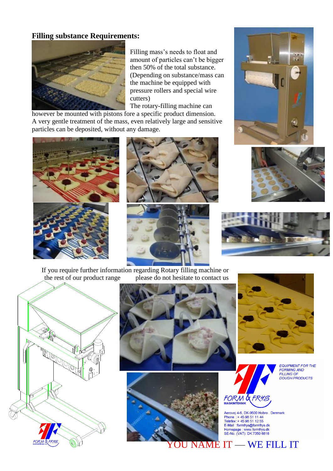## **Filling substance Requirements:**



Filling mass's needs to float and amount of particles can't be bigger then 50% of the total substance. (Depending on substance/mass can the machine be equipped with pressure rollers and special wire cutters)

The rotary-filling machine can

however be mounted with pistons fore a specific product dimension. A very gentle treatment of the mass, even relatively large and sensitive particles can be deposited, without any damage.













If you require further information regarding Rotary filling machine or the rest of our product range please do not hesitate to contact us











Aerovej 4-6, DK-9500 Hobro . Denmark Phone: +45 98 51 11 44<br>Telefax: +45 98 51 12 55 E-Mail :formfrys@formfrys.dk<br>Homepage : www.formfrys.dk<br>SE-No. (VAT): DK 7350 6816

EQUIPMENT FOR THE FORMING AND<br>FILLING OF<br>DOUGH PRODUCTS